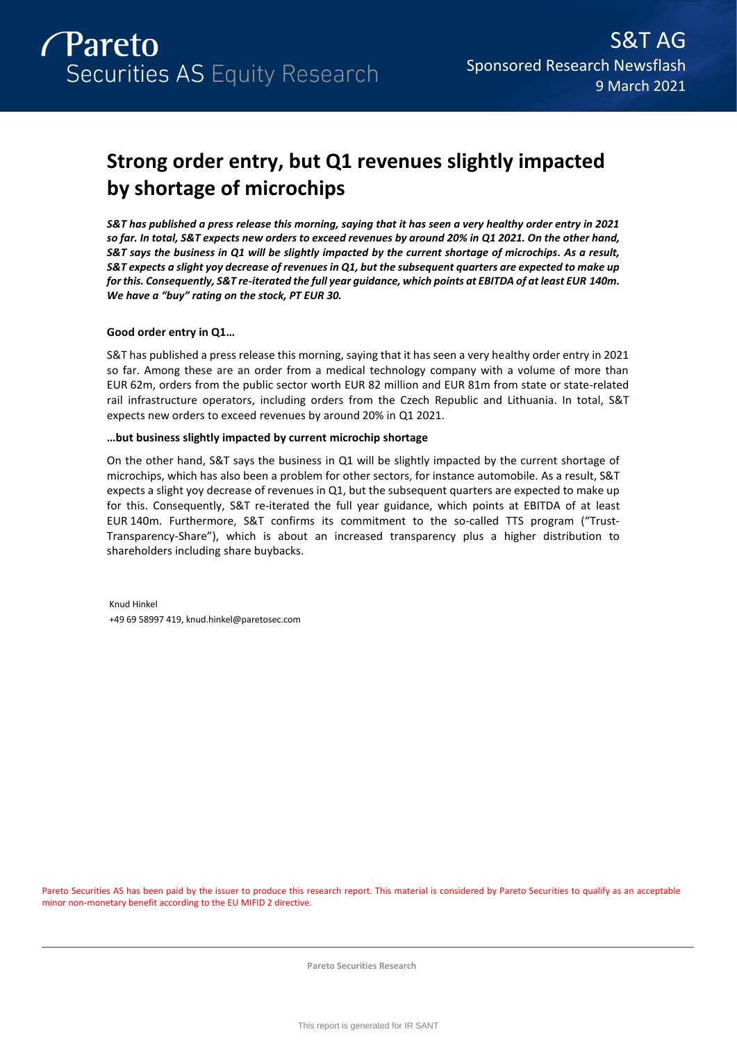

# **Strong order entry, but Q1 revenues slightly impacted by shortage of microchips**

*S&T has published a press release this morning, saying that it has seen a very healthy order entry in 2021 so far. In total, S&T expects new orders to exceed revenues by around 20% in Q1 2021. On the other hand, S&T says the business in Q1 will be slightly impacted by the current shortage of microchips. As a result, S&T expects a slight yoy decrease of revenues in Q1, but the subsequent quarters are expected to make up for this. Consequently, S&T re-iterated the full year guidance, which points at EBITDA of at least EUR 140m. We have a "buy" rating on the stock, PT EUR 30.* 

# **Good order entry in Q1…**

S&T has published a press release this morning, saying that it has seen a very healthy order entry in 2021 so far. Among these are an order from a medical technology company with a volume of more than EUR 62m, orders from the public sector worth EUR 82 million and EUR 81m from state or state-related rail infrastructure operators, including orders from the Czech Republic and Lithuania. In total, S&T expects new orders to exceed revenues by around 20% in Q1 2021.

# **…but business slightly impacted by current microchip shortage**

On the other hand, S&T says the business in Q1 will be slightly impacted by the current shortage of microchips, which has also been a problem for other sectors, for instance automobile. As a result, S&T expects a slight yoy decrease of revenues in Q1, but the subsequent quarters are expected to make up for this. Consequently, S&T re-iterated the full year guidance, which points at EBITDA of at least EUR 140m. Furthermore, S&T confirms its commitment to the so-called TTS program ("Trust-Transparency-Share"), which is about an increased transparency plus a higher distribution to shareholders including share buybacks.

Knud Hinkel +49 69 58997 419, knud.hinkel@paretosec.com

Pareto Securities AS has been paid by the issuer to produce this research report. This material is considered by Pareto Securities to qualify as an acceptable minor non-monetary benefit according to the EU MIFID 2 directive.

**Pareto Securities Research**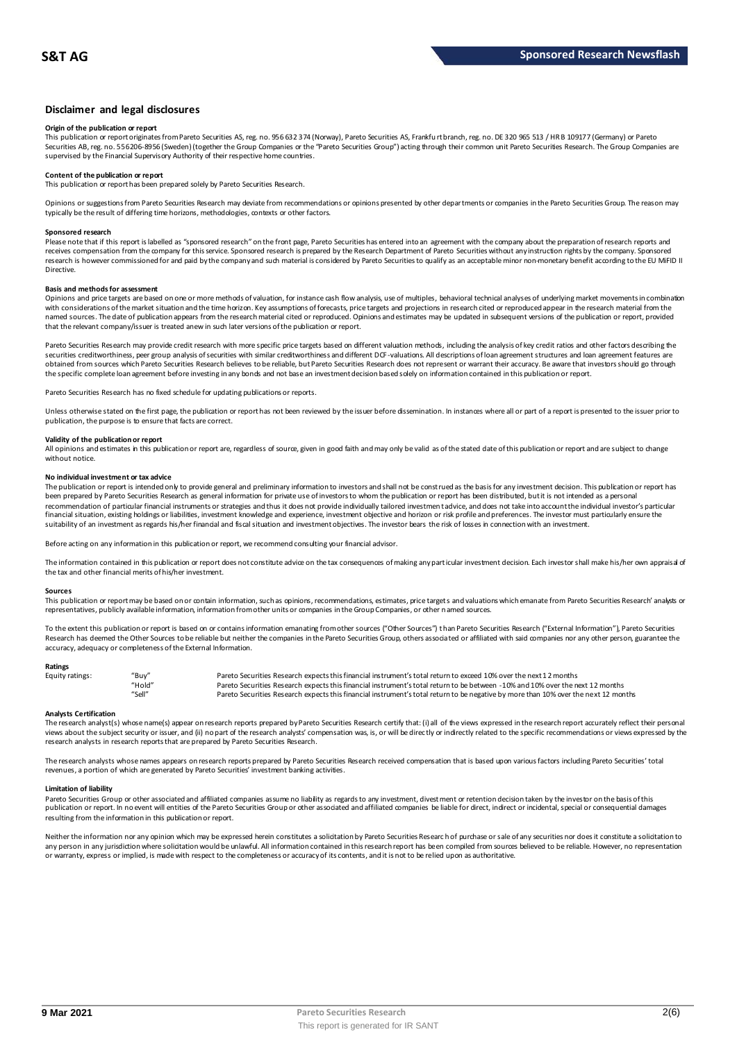# **Disclaimer and legal disclosures**

# **Origin of the publication or report**

This publication or report originates from Pareto Securities AS, reg. no. 956 632 374 (Norway), Pareto Securities AS, Frankfu rt branch, reg. no. DE 320 965 513 / HR B 109177 (Germany) or Pareto Securities AB, reg. no. 556206-8956 (Sweden) (together the Group Companies or the "Pareto Securities Group") acting through their common unit Pareto Securities Research. The Group Companies are<br>supervised by the Financial

# **Content of the publication or report**

This publication or report has been prepared solely by Pareto Securities Research.

Opinions or suggestions from Pareto Securities Research may deviate from recommendations or opinions presented by other departments or companies in the Pareto Securities Group. The reason may typically be the result of differing time horizons, methodologies, contexts or other factors.

#### **Sponsored research**

Please note that if this report is labelled as "sponsored research" on the front page, Pareto Securities has entered into an agreement with the company about the preparation of research reports and<br>receives compensation fr research is however commissioned for and paid by the company and such material is considered by Pareto Securities to qualify as an acceptable minor non-monetary benefit according to the EU MiFID II Directive.

#### **Basis and methods for assessment**

Opinions and price targets are based on one or more methods of valuation, for instance cash flow analysis, use of multiples, behavioral technical analyses of underlying market movements in combination with considerations of the market situation and the time horizon. Key assumptions of forecasts, price targets and projections in research cited or reproduced appear in the research material from the named sources. The date of publication appears from the research material cited or reproduced. Opinions and estimates may be updated in subsequent versions of the publication or report, provided that the relevant company/issuer is treated anew in such later versions of the publication or report.

Pareto Securities Research may provide credit research with more specific price targets based on different valuation methods, including the analysis of key credit ratios and other factors describing the securities creditworthiness, peer group analysis of securities with similar creditworthiness and different DCF-valuations. All descriptions of loan agreement structures and loan agreement features are obtained from sources which Pareto Securities Research believes to be reliable, but Pareto Securities Research does not represent or warrant their accuracy. Be aware that investors should go through the specific complete loan agreement before investing in any bonds and not base an investment decision based solely on information contained in this publication or report.

Pareto Securities Research has no fixed schedule for updating publications or reports.

Unless otherwise stated on the first page, the publication or report has not been reviewed by the issuer before dissemination. In instances where all or part of a report is presented to the issuer prior to publication, the purpose is to ensure that facts are correct.

# **Validity of the publication or report**

All opinions and estimates in this publication or report are, regardless of source, given in good faith and may only be valid as of the stated date of this publication or report and are subject to change without notice

#### **No individual investment or tax advice**

The publication or report is intended only to provide general and preliminary information to investors and shall not be construed as the basis for any investment decision. This publication or report has<br>been prepared by Pa recommendation of particular financial instruments or strategies and thus it does not provide individually tailored investmen t advice, and does not take into account the individual investor's particular financial situation, existing holdings or liabilities, investment knowledge and experience, investment objective and horizon or risk profile and preferences. The investor must particularly ensure the suitability of an investment as regards his/her financial and fiscal situation and investment objectives. The investor bears the risk of losses in connection with an investment.

Before acting on any information in this publication or report, we recommend consulting your financial advisor.

The information contained in this publication or report does not constitute advice on the tax consequences of making any particular investment decision. Each investor shall make his/her own appraisal of the tax and other financial merits of his/her investment.

#### **Sources**

This publication or report may be based on or contain information, such as opinions, recommendations, estimates, price targets and valuations which emanate from Pareto Securities Research' analysts or representatives, publicly available information, information from other units or companies in the Group Companies, or other named sources.

To the extent this publication or report is based on or contains information emanating from other sources ("Other Sources") than Pareto Securities Research ("External Information"), Pareto Securities Research has deemed the Other Sources to be reliable but neither the companies in the Pareto Securities Group, others associated or affiliated with said companies nor any other person, guarantee the accuracy, adequacy or completeness of the External Information.

#### **Ratings**

| Equity ratings: | "Buy"  | Pareto Securities Research expects this financial instrument's total return to exceed 10% over the next 12 months                   |
|-----------------|--------|-------------------------------------------------------------------------------------------------------------------------------------|
|                 | "Hold" | Pareto Securities Research expects this financial instrument's total return to be between -10% and 10% over the next 12 months      |
|                 | "Sell" | Pareto Securities Research expects this financial instrument's total return to be negative by more than 10% over the next 12 months |

**Analysts Certification**<br>The research analystis) whose name(s) appear on research reports prepared by Pareto Securities Research certify that: (i) all of the views expressed in the research report accurately reflect their "Hold"<br>Pareto Securities Research expects this financial instrument's total return to be between -10% and 10% over the next 12 months<br>Analysts Certification<br>The research analyst(s) whose name(s) appear on research reports research analysts in research reports that are prepared by Pareto Securities Research.

The research analysts whose names appears on research reports prepared by Pareto Securities Research received compensation that is based upon various factors including Pareto Securities' total revenues, a portion of which are generated by Pareto Securities' investment banking activities.

#### **Limitation of liability**

Pareto Securities Group or other associated and affiliated companies assume no liability as regards to any investment, divest ment or retention decision taken by the investor on the basis of this publication or report. In no event will entities of the Pareto Securities Group or other associated and affiliated companies be liable for direct, indirect or incidental, special or consequential damages resulting from the information in this publication or report.

Neither the information nor any opinion which may be expressed herein constitutes a solicitation by Pareto Securities Research of purchase or sale of any securities nor does it constitute a solicitation to any person in any jurisdiction where solicitation would be unlawful. All information contained in this research report has been compiled from sources believed to be reliable. However, no representation or warranty, express or implied, is made with respect to the completeness or accuracy of its contents, and it is not to be relied upon as authoritative.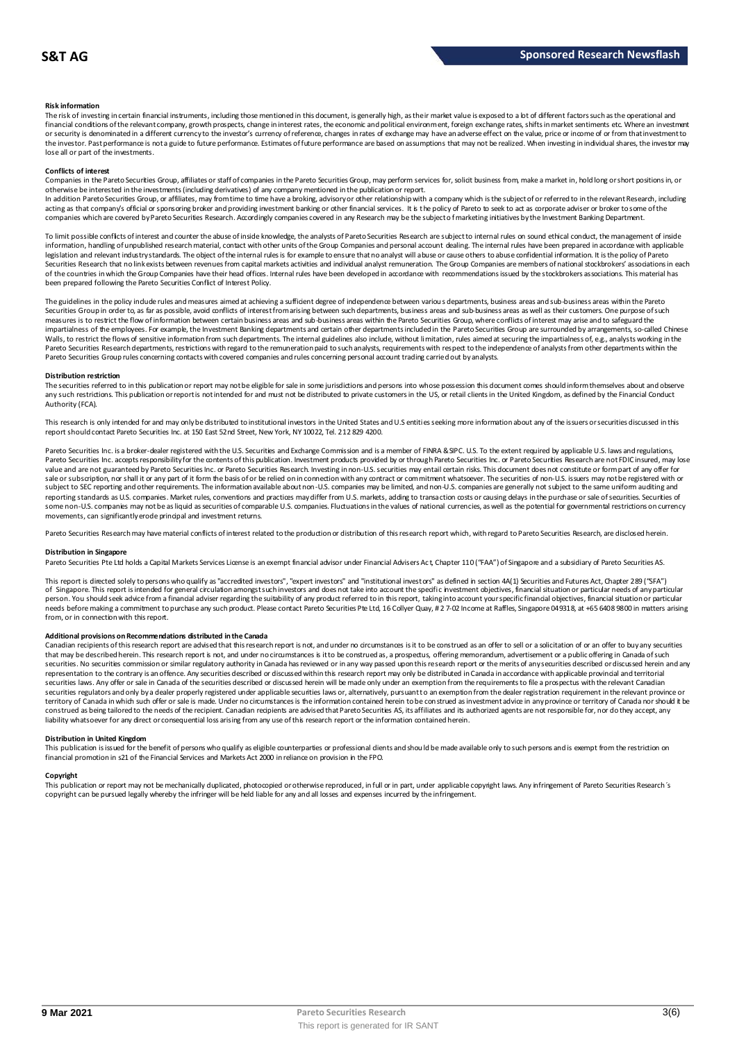### **Risk information**

The risk of investing in certain financial instruments, including those mentioned in this document, is generally high, as their market value is exposed to a lot of different factors such as the operational and financial conditions of the relevant company, growth prospects, change in interest rates, the economic and political environment, foreign exchange rates, shifts in market sentiments etc. Where an investment or security is denominated in a different currency to the investor's currency of reference, changes in rates of exchange may have an adverse effect on the value, price or income of or from that investment to the investor. Past performance is not a guide to future performance. Estimates of future performance are based on assumptions that may not be realized. When investing in individual shares, the investor may lose all or part of the investments.

#### **Conflicts of interest**

Companies in the Pareto Securities Group, affiliates or staff of companies in the Pareto Securities Group, may perform services for, solicit business from, make a market in, hold long or short positions in, or otherwise be interested in the investments (including derivatives) of any company mentioned in the publication or report.<br>In addition Pareto Securities Group, or affiliates, may from time to time have a broking, advisory o

acting as that company's official or sponsoring broker and providing investment banking or other financial services. It is the policy of Pareto to seek to act as corporate adviser or broker to some of the companies which are covered by Pareto Securities Research. Accordingly companies covered in any Research may be the subject o f marketing initiatives by the Investment Banking Department.

To limit possible conflicts of interest and counter the abuse of inside knowledge, the analysts of Pareto Securities Research are subject to internal rules on sound ethical conduct, the management of inside information, handling of unpublished research material, contact with other units of the Group Companies and personal account dealing. The internal rules have been prepared in accordance with applicable legislation and relevant industry standards. The object of the internal rules is for example to ensure that no analyst will abuse or cause others to abuse confidential information. It is the policy of Pareto Securities Research that no link exists between revenues from capital markets activities and individual analyst remuneration. The Group Companies are members of national stockbrokers' associations in each of the countries in which the Group Companies have their head offices. Internal rules have been developed in accordance with recommendations issued by the stockbrokers associations. This material has been prepared following the Pareto Securities Conflict of Interest Policy.

The guidelines in the policy indude rules and measures aimed at achieving a sufficient degree of independence between various departments, business areas and sub-business areas within the Pareto Securities Group in order to, as far as possible, avoid conflicts of interest from arising between such departments, business areas and sub-business areas as well as their customers. One purpose of such measures is to restrict the flow of information between certain business areas and sub-business areas within the Pareto Securities Group, where conflicts of interest may arise and to safeguard the inpartialness of the empl The guidelines in the policy indude rules and measures aimed at achieving a sufficient degree of independence between various departments, business areas and sub-business areas within the Pareto<br>Securities Group in order t Pareto Securities Group rules concerning contacts with covered companies and rules concerning personal account trading carried out by analysts.

#### **Distribution restriction**

The securities referred to in this publication or report may not be eligible for sale in some jurisdictions and persons into whose possession this document comes should inform themselves about and observe Pareto Securities Group rules concerning contacts with covered companies and rules concerning personal account trading carried out by analysts.<br>Distribution restriction<br>The securities referred to in this publication or rep Authority (FCA).

This research is only intended for and may only be distributed to institutional investors in the United States and U.S entities seeking more information about any of the issuers or securities discussed in this report should contact Pareto Securities Inc. at 150 East 52nd Street, New York, NY 10022, Tel. 212 829 4200.

Pareto Securities Inc. is a broker-dealer registered with the U.S. Securities and Exchange Commission and is a member of FINRA & SIPC. U.S. To the extent required by applicable U.S. laws and regulations, Pareto Securities Inc. accepts responsibilityfor the contents of this publication. Investment products provided by or through Pareto Securities Inc. or Pareto Securities Research are not FDIC insured, may lose<br>value and ar sale or subscription, nor shall it or any part of it form the basis of or be relied on in connection with any contract or commitment whatsoever. The securities of non-U.S. issuers may not be registered with or subject to SEC reporting and other requirements. The information available about non-U.S. companies may be limited, and non-U.S. companies are generally not subject to the same unifom auditing and<br>reporting standards as U some non-U.S. companies may not be as liquid as securities of comparable U.S. companies. Fluctuations in the values of national currencies, as well as the potential for governmental restrictions on currency movements, can significantly erode principal and investment returns.

Pareto Securities Research may have material conflicts of interest related to the production or distribution of this research report which, with regard to Pareto Securities Research, are disclosed herein.

#### **Distribution in Singapore**

Pareto Securities Pte Ltd holds a Capital Markets Services License is an exempt financial advisor under Financial Advisers Ac t, Chapter 110 ("FAA") of Singapore and a subsidiary of Pareto Securities AS.

This report is directed solely to persons who qualify as "accredited investors", "expert investors" and "institutional investors" as defined in section 4A(1) Securities and Futures Act, Chapter 289 ("SFA") **Distribution in Singapore**<br>Pareto Securities Pte Ltd holds a Capital Markets Services License is an exempt financial advisor under Financial Advisers Act, Chapter 110 ("FAA") of Singapore and a subsidiary of Pareto Securi person. You should seek advice from a financial adviser regarding the suitability of any product referred to in this report, taking into account your specific financial objectives, financial situation or particular needs before making a commitment to purchase any such product. Please contact Pareto Securities Pte Ltd, 16 Collyer Quay, # 2 7-02 Income at Raffles, Singapore 049318, at +65 6408 9800 in matters arising<br>from, or in connec

#### **Additional provisions on Recommendations distributed in the Canada**

needs before making a commitment to purchase any such product. Please contact Pareto Securities Pte Ltd, 16 Collyer Quay, # 2 7-02 Income at Raffles, Singapore 049318, at +65 6408 9800 in matters arisin<br>from, or in connect That may be described herein. This research report are advised that this research report is not, and under no circumstances is it to be construed as an offer to sell or a solicitation of or an offer to buy any securities<br>t securities. No securities commission or similar regulatory authority in Canada has reviewed or in any way passed upon this research report or the merits of any securities described or discussed herein and any representation to the contrary is an offence. Any securities described or discussed within this research report may only be distributed in Canada in accordance with applicable provincial and territorial securities laws. Any offer or sale in Canada of the securities described or discussed herein will be made only under an exemption from the requirements to file a prospectus with the relevant Canadian securities regulators and only by a dealer properly registered under applicable securities laws or, alternatively, pursuant to an exemption from the dealer registration requirement in the relevant province or territory of Canada in which such offer or sale is made. Under no circumstances is the information contained herein to be construed as investment advice in any province or territory of Canada nor should it be construed as being tailored to the needs of the recipient. Canadian recipients are advised that Pareto Securities AS, its affiliates and its authorized agents are not responsible for, nor do they accept, any liability whatsoever for any direct or consequential loss arising from any use of this research report or the information contained herein.

# **Distribution in United Kingdom**

financial promotion in s21 of the Financial Services and Markets Act 2000 in reliance on provision in the FPO.

This publication is issued for the benefit of persons who qualify as eligible counterparties or professional dients and should be made available only to such persons and is exempt from the restriction on<br>financial promotio **Copyright**<br>This publication or report may not be mechanically duplicated, photomoied or otherwise reproduced, in full or in part, under annlicable copyright laws. Any infringement of Pareto Sequities Research's copyright can be pursued legally whereby the infringer will be held liable for any and all losses and expenses incurred by the infringement.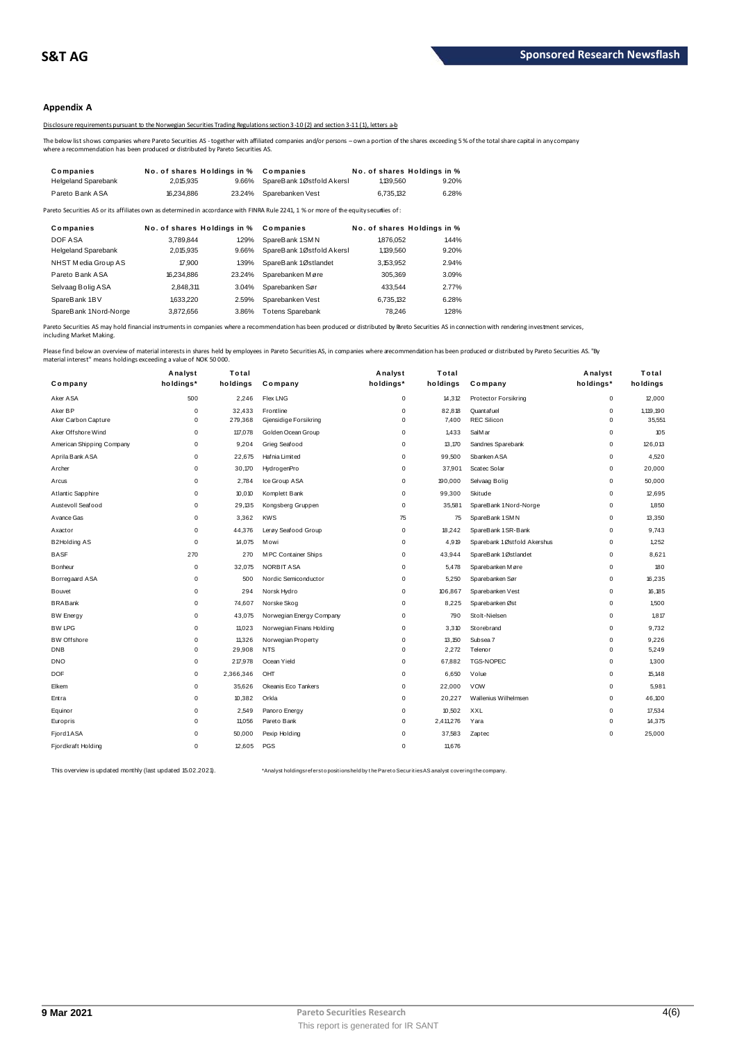# **Appendix A**

Disclosure requirements pursuant to the Norwegian Securities Trading Regulations section 3-10 (2) and section 3-11 (1), letters a-b

The below list shows companies where Pareto Securities AS - together with affiliated companies and/or persons – own a portion of the shares exceeding 5 % of the total share capital in any company<br>where a recommendation has

|                                                                                  |                             |        | Disclosure requirements bursuant to the Norwegian Securities Trading Regulations section 3-10(2) and section 3-11(1). letters a-b                       |                             |       |
|----------------------------------------------------------------------------------|-----------------------------|--------|---------------------------------------------------------------------------------------------------------------------------------------------------------|-----------------------------|-------|
| where a recommendation has been produced or distributed by Pareto Securities AS. |                             |        | The below list shows companies where Pareto Securities AS - together with affiliated companies and/or persons – own a portion of the shares exceeding 5 |                             |       |
| Companies                                                                        | No. of shares Holdings in % |        | Companies                                                                                                                                               | No. of shares Holdings in % |       |
| <b>Helgeland Sparebank</b>                                                       | 2.015.935                   | 9.66%  | SpareBank 1Østfold Akersl                                                                                                                               | 1,139,560                   | 9.20% |
| Pareto Bank ASA                                                                  | 16.234.886                  | 23.24% | Sparebanken Vest                                                                                                                                        | 6.735.132                   | 6.28% |
|                                                                                  |                             |        |                                                                                                                                                         |                             |       |

| <b>Heigeland Oparebann</b> | 2.U N.Y.J  | <b>3.0070</b>               | <b>SPAILD AIR ILLUSTION AND ST</b>                                                                                                     | 1. 133.300 | <b>J.LU /0</b>              |
|----------------------------|------------|-----------------------------|----------------------------------------------------------------------------------------------------------------------------------------|------------|-----------------------------|
| Pareto Bank ASA            | 16.234.886 | 23.24%                      | Sparebanken Vest                                                                                                                       | 6.735.132  | 6.28%                       |
|                            |            |                             | Pareto Securities AS or its affiliates own as determined in accordance with FINRA Rule 2241, 1 % or more of the equity securities of : |            |                             |
| Companies                  |            | No. of shares Holdings in % | Companies                                                                                                                              |            | No. of shares Holdings in % |
| DOF ASA                    | 3.789.844  | 1.29%                       | SpareBank 1SMN                                                                                                                         | 1876.052   | 1.44%                       |
| <b>Helgeland Sparebank</b> | 2,015,935  | 9.66%                       | SpareBank 1Østfold Akersl                                                                                                              | 1,139,560  | 9.20%                       |
| NHST Media Group AS        | 17,900     | 139%                        | SpareBank 1Østlandet                                                                                                                   | 3.153.952  | 2.94%                       |
| Pareto Bank ASA            | 16,234,886 | 23.24%                      | Sparebanken Møre                                                                                                                       | 305.369    | 3.09%                       |
| Selvaag Bolig ASA          | 2.848.311  | 3.04%                       | Sparebanken Sør                                                                                                                        | 433.544    | 2.77%                       |
| SpareBank 1BV              | 1.633.220  | 2.59%                       | Sparebanken Vest                                                                                                                       | 6.735.132  | 6.28%                       |
| SpareBank 1Nord-Norge      | 3.872.656  | 3.86%                       | <b>Totens Sparebank</b>                                                                                                                | 78.246     | 1.28%                       |
|                            |            |                             |                                                                                                                                        |            |                             |

Pareto Securities AS may hold financial instruments in companies where a recommendation has been produced or distributed by Pareto Securities AS in connection with rendering investment services, including Market Making.

|                           | Analyst     | Total     |                          | Analyst     | Total     |                             | Analyst     | Total     |
|---------------------------|-------------|-----------|--------------------------|-------------|-----------|-----------------------------|-------------|-----------|
| Company                   | holdings*   | holdings  | Company                  | holdings*   | holdings  | Company                     | holdings*   | holdings  |
| Aker ASA                  | 500         | 2,246     | <b>Flex LNG</b>          | $\pmb{0}$   | 14,312    | Protector Forsikring        | $\mathsf 0$ | 12,000    |
| Aker BP                   | $\mathbf 0$ | 32,433    | Frontline                | $\mathbf 0$ | 82,818    | Quant af uel                | $\mathbf 0$ | 1,119,190 |
| Aker Carbon Capture       | $\Omega$    | 279,368   | Gjensidige Forsikring    | $\mathbf 0$ | 7,400     | <b>REC Silicon</b>          | $\pmb{0}$   | 35,551    |
| Aker Offshore Wind        | 0           | 117,078   | Golden Ocean Group       | $\Omega$    | 1,433     | SalM ar                     | $\pmb{0}$   | 105       |
| American Shipping Company | $\mathbf 0$ | 9,204     | Grieg Seafood            | $\mathbf 0$ | 13,170    | Sandnes Sparebank           | $\mathbf 0$ | 126,013   |
| Aprila Bank ASA           | $\mathbf 0$ | 22,675    | Hafnia Limited           | $\mathbf 0$ | 99,500    | Sbanken ASA                 | $\mathbf 0$ | 4,520     |
| Archer                    | $\mathbf 0$ | 30,170    | HydrogenPro              | $\mathbf 0$ | 37,901    | Scatec Solar                | $\pmb{0}$   | 20,000    |
| Arcus                     | $\mathbf 0$ | 2,784     | Ice Group ASA            | $\mathbf 0$ | 190,000   | Selvaag Bolig               | $\mathbf 0$ | 50,000    |
| Atlantic Sapphire         | $\mathbf 0$ | 10,010    | Komplett Bank            | $\mathbf 0$ | 99,300    | Skitude                     | $\mathbf 0$ | 12,695    |
| Austevoll Seafood         | $\mathbf 0$ | 29,135    | Kongsberg Gruppen        | $\mathbf 0$ | 35,581    | SpareBank 1 Nord-Norge      | 0           | 1.850     |
| Avance Gas                | $\mathbf 0$ | 3,362     | <b>KWS</b>               | 75          | 75        | SpareBank 1 SMN             | $\mathbf 0$ | 13,350    |
| Axactor                   | $\mathbf 0$ | 44,376    | Lerøy Seafood Group      | $\pmb{0}$   | 18,242    | SpareBank 1 SR-Bank         | $\mathsf 0$ | 9,743     |
| B2Holding AS              | $\Omega$    | 14,075    | M owi                    | $\Omega$    | 4,919     | Sparebank 1Østfold Akershus | $\mathbf 0$ | 1,252     |
| <b>BASF</b>               | 270         | 270       | M PC Container Ships     | $\mathbf 0$ | 43,944    | SpareBank 1Østlandet        | $\pmb{0}$   | 8,621     |
| Bonheur                   | $\mathbf 0$ | 32,075    | <b>NORBIT ASA</b>        | $\mathbf 0$ | 5,478     | Sparebanken Møre            | $\mathbf 0$ | 180       |
| Borregaard ASA            | $\mathbf 0$ | 500       | Nordic Semiconductor     | 0           | 5,250     | Sparebanken Sør             | $\mathbf 0$ | 16,235    |
| Bouvet                    | $\mathbf 0$ | 294       | Norsk Hydro              | $\Omega$    | 106,867   | Sparebanken Vest            | $\mathbf 0$ | 16,185    |
| <b>BRABank</b>            | $\mathbf 0$ | 74,607    | Norske Skog              | $\Omega$    | 8,225     | Sparebanken Øst             | $\mathbf 0$ | 1,500     |
| <b>BW</b> Energy          | 0           | 43,075    | Norwegian Energy Company | $\mathbf 0$ | 790       | Stolt-Nielsen               | 0           | 1,817     |
| <b>BW LPG</b>             | $\mathbf 0$ | 11.023    | Norwegian Finans Holding | $\mathbf 0$ | 3,310     | Storebrand                  | $\mathbf 0$ | 9,732     |
| <b>BW Offshore</b>        | $\mathbf 0$ | 11,326    | Norwegian Property       | $\mathbf 0$ | 13,150    | Subsea 7                    | 0           | 9,226     |
| <b>DNB</b>                | $\mathbf 0$ | 29,908    | <b>NTS</b>               | 0           | 2,272     | Telenor                     | $\mathbf 0$ | 5,249     |
| <b>DNO</b>                | $\pmb{0}$   | 217,978   | Ocean Yield              | $\mathbf 0$ | 67,882    | <b>TGS-NOPEC</b>            | $\pmb{0}$   | 1,300     |
| <b>DOF</b>                | $\mathbf 0$ | 2,366,346 | OHT                      | $\mathbf 0$ | 6,650     | Volue                       | $\mathbf 0$ | 15,148    |
| Elkem                     | $\mathbf 0$ | 35,626    | Okeanis Eco Tankers      | $\mathbf 0$ | 22,000    | <b>VOW</b>                  | $\pmb{0}$   | 5,981     |
| Entra                     | $\mathbf 0$ | 10,382    | Orkla                    | $\mathbf 0$ | 20,227    | Wallenius Wilhelmsen        | $\mathbf 0$ | 46,100    |
| Equinor                   | $\mathbf 0$ | 2,549     | Panoro Energy            | $\mathbf 0$ | 10,502    | XXL                         | $\mathbf 0$ | 17,534    |
| Europris                  | $\mathbf 0$ | 11,056    | Pareto Bank              | $\mathbf 0$ | 2,411,276 | Yara                        | $\mathbf 0$ | 14,375    |
| Fjord1ASA                 | $\mathbf 0$ | 50,000    | Pexip Holding            | $\Omega$    | 37,583    | Zaptec                      | $\Omega$    | 25,000    |
| Fjordkraft Holding        | $\Omega$    | 12,605    | PGS                      | $\Omega$    | 11,676    |                             |             |           |

This overview is updated monthly (last updated 15.02.2021). \*Analyst holdings ref ers t o posit ions held by t he Paret o Securit ies AS analyst covering t he company.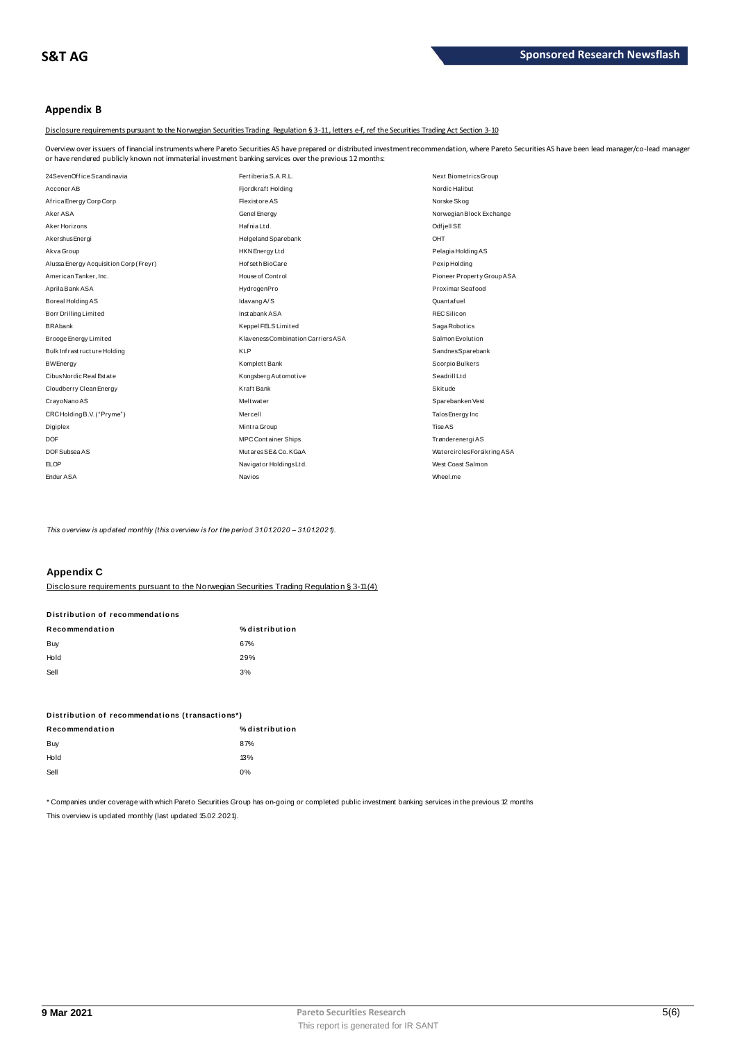# **Appendix B**

Disclosure requirements pursuant to the Norwegian Securities Trading Regulation § 3-11, letters e-f, ref the Securities Trading Act Section 3-10

Overview over issuers of financial instruments where Pareto Securities AS have prepared or distributed investment recommendation, where Pareto Securities AS have been lead manager/co-lead manager<br>or have rendered publicly

| or have rendered publicly known not immaterial investment banking services over the previous 12 months: |                                    |                             |  |  |  |
|---------------------------------------------------------------------------------------------------------|------------------------------------|-----------------------------|--|--|--|
| 24SevenOffice Scandinavia                                                                               | Fertiberia S.A.R.L.                | Next BiometricsGroup        |  |  |  |
| Acconer AB                                                                                              | Fjordkraft Holding                 | Nordic Halibut              |  |  |  |
| Africa Energy Corp Corp                                                                                 | <b>Flexistore AS</b>               | Norske Skog                 |  |  |  |
| Aker ASA                                                                                                | Genel Energy                       | Norwegian Block Exchange    |  |  |  |
| Aker Horizons                                                                                           | Hafnia Ltd.                        | Odf jell SE                 |  |  |  |
| Akershus Energi                                                                                         | <b>Helgeland Sparebank</b>         | OHT                         |  |  |  |
| Akva Group                                                                                              | <b>HKN</b> Energy Ltd              | Pelagia Holding AS          |  |  |  |
| Alussa Energy Acquisition Corp (Freyr)                                                                  | Hof seth BioCare                   | Pexip Holding               |  |  |  |
| American Tanker, Inc.                                                                                   | House of Control                   | Pioneer Property Group ASA  |  |  |  |
| Aprila Bank ASA                                                                                         | HydrogenPro                        | Proximar Seafood            |  |  |  |
| Boreal Holding AS                                                                                       | Idavang A/S                        | Quant af uel                |  |  |  |
| Borr Drilling Limited                                                                                   | Instabank ASA                      | <b>REC Silicon</b>          |  |  |  |
| <b>BRAbank</b>                                                                                          | Keppel FELS Limited                | Saga Robotics               |  |  |  |
| Brooge Energy Limited                                                                                   | Klaveness Combination Carriers ASA | Salmon Evolution            |  |  |  |
| Bulk Infrastructure Holding                                                                             | <b>KLP</b>                         | SandnesSparebank            |  |  |  |
| <b>BWEnergy</b>                                                                                         | Komplett Bank                      | Scorpio Bulkers             |  |  |  |
| Cibus Nordic Real Estate                                                                                | Kongsberg Automotive               | Seadrill Ltd                |  |  |  |
| Cloudberry Clean Energy                                                                                 | Kraft Bank                         | Skitude                     |  |  |  |
| CrayoNano AS                                                                                            | <b>Melt water</b>                  | Sparebanken Vest            |  |  |  |
| CRC Holding B.V. ("Pryme")                                                                              | Mercell                            | Talos Energy Inc            |  |  |  |
| Digiplex                                                                                                | Mintra Group                       | Tise AS                     |  |  |  |
| <b>DOF</b>                                                                                              | <b>MPC Container Ships</b>         | Trønderenergi AS            |  |  |  |
| DOF Subsea AS                                                                                           | MutaresSE& Co. KGaA                | Watercircles Forsikring ASA |  |  |  |
| FLOP                                                                                                    | Navigator Holdings Ltd.            | West Coast Salmon           |  |  |  |
| Endur ASA                                                                                               | Navios                             | Wheel me                    |  |  |  |

*This overview is updated monthly (this overview is for the period 31.01.2020 – 31.01.2021).*

# **Appendix C**

| <b>APPGINIA V</b>               |                                                                                            |
|---------------------------------|--------------------------------------------------------------------------------------------|
|                                 | Disclosure requirements pursuant to the Norwegian Securities Trading Requilation § 3-11(4) |
| Distribution of recommendations |                                                                                            |
| Recommendation                  | % distribution                                                                             |
| Buy                             | 67%                                                                                        |
| Hold                            | 29%                                                                                        |
| Sell                            | 3%                                                                                         |
|                                 |                                                                                            |

| ັບບ                                             | $\mathsf{v}$   |
|-------------------------------------------------|----------------|
| Distribution of recommendations (transactions*) |                |
| Recommendation                                  | % distribution |
| Buy                                             | 87%            |
| Hold                                            | 13%            |
| Sell                                            | 0%             |
|                                                 |                |

\* Companies under coverage with which Pareto Securities Group has on-going or completed public investment banking services in the previous 12 months This overview is updated monthly (last updated 15.02.2021).